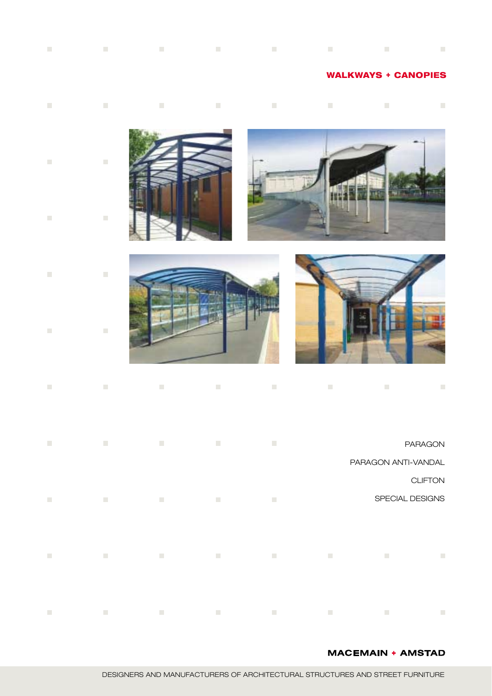# . . . . . . . . . . . . . .

## **WALKWAYS + CANOPIES**

 $\mathcal{L}_{\mathcal{A}}$  $\sim 10$ the contract of the contract of the contract of the contract of the contract of the contract of the contract of





 $\mathcal{L}$ 

 $\mathcal{L}$ 

 $\mathbf{r}$ 

 $\mathcal{L}$ 

 $\overline{\mathcal{L}}$ 

 $\overline{\phantom{a}}$ 

 $\mathcal{L}$ 

 $\mathcal{L}$ 







| PARAGON                           |   | $\mathcal{L}_{\mathcal{A}}$ | <b>I</b>                     | T.                          | <b>I</b>       | n. |
|-----------------------------------|---|-----------------------------|------------------------------|-----------------------------|----------------|----|
| PARAGON ANTI-VANDAL               |   |                             |                              |                             |                |    |
| <b>CLIFTON</b>                    |   |                             |                              |                             |                |    |
| SPECIAL DESIGNS                   |   | $\mathcal{L}_{\mathcal{A}}$ | <b>COL</b>                   | п                           | n.             | n. |
|                                   |   |                             |                              |                             |                |    |
|                                   |   |                             |                              |                             |                |    |
| n.<br>$\mathcal{L}^{\mathcal{L}}$ |   | $\mathcal{L}_{\mathcal{A}}$ | $\mathcal{L}_{\mathrm{eff}}$ | $\mathcal{L}_{\mathcal{A}}$ | п              | T. |
|                                   |   |                             |                              |                             |                |    |
|                                   |   |                             |                              |                             |                |    |
| $\mathcal{L}_{\mathcal{A}}$       | П | n.                          | T.                           | I.                          | <b>College</b> | T. |

**MACEMAIN + AMSTAD**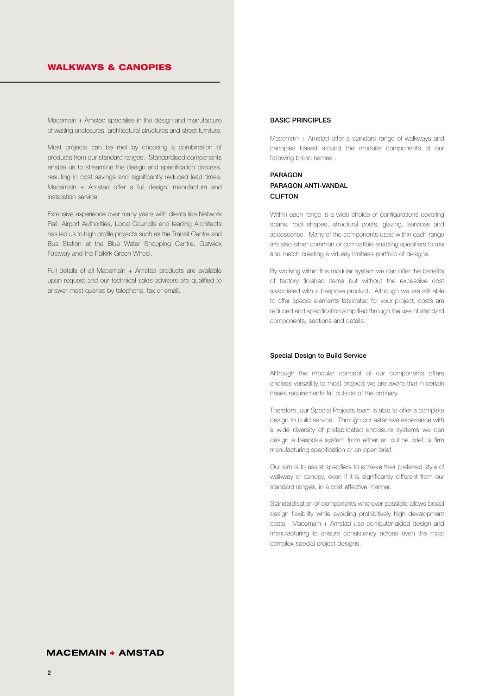## **WALKWAYS & CANOPIES**

Macemain + Amstad specialise in the design and manufacture of waiting enclosures, architectural structures and street furniture.

Most projects can be met by choosing a combination of products from our standard ranges. Standardised components enable us to streamline the design and specification process, resulting in cost savings and significantly reduced lead times. Macemain + Amstad offer a full design, manufacture and installation service.

Extensive experience over many years with clients like Network Rail, Airport Authorities, Local Councils and leading Architects has led us to high profile projects such as the Transit Centre and Bus Station at the Blue Water Shopping Centre, Gatwick Fastway and the Falkirk Green Wheel.

Full details of all Macemain + Amstad products are available upon request and our technical sales advisers are qualified to answer most queries by telephone, fax or email.

### **BASIC PRINCIPLES**

Macemain + Amstad offer a standard range of walkways and canopies based around the modular components of our following brand names :

## **PARAGON PARAGON ANTI-VANDAL CLIFTON**

Within each range is a wide choice of configurations covering spans, roof shapes, structural posts, glazing, services and accessories. Many of the components used within each range are also either common or compatible enabling specifiers to mix and match creating a virtually limitless portfolio of designs.

By working within this modular system we can offer the benefits of factory finished items but without the excessive cost associated with a bespoke product. Although we are still able to offer special elements fabricated for your project, costs are reduced and specification simplified through the use of standard components, sections and details.

#### **Special Design to Build Service**

Although the modular concept of our components offers endless versatility to most projects we are aware that in certain cases requirements fall outside of the ordinary.

Therefore, our Special Projects team is able to offer a complete design to build service. Through our extensive experience with a wide diversity of prefabricated enclosure systems we can design a bespoke system from either an outline brief, a firm manufacturing specification or an open brief.

Our aim is to assist specifiers to achieve their preferred style of walkway or canopy, even if it is significantly different from our standard ranges, in a cost effective manner.

Standardisation of components wherever possible allows broad design flexibility while avoiding prohibitively high development costs. Macemain + Amstad use computer-aided design and manufacturing to ensure consistency across even the most complex special project designs.

## **MACEMAIN + AMSTAD**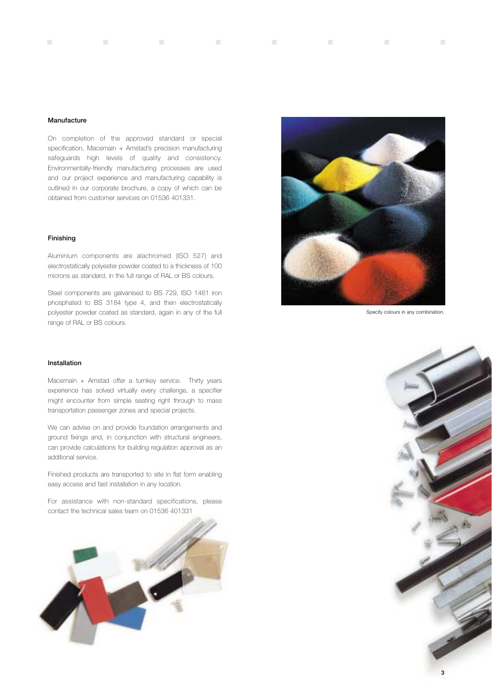#### **Manufacture**

 $\mathcal{L}_{\mathcal{A}}$ 

 $\mathcal{L}_{\mathcal{A}}$ 

On completion of the approved standard or special specification, Macemain + Amstad's precision manufacturing safeguards high levels of quality and consistency. Environmentally-friendly manufacturing processes are used and our project experience and manufacturing capability is outlined in our corporate brochure, a copy of which can be obtained from customer services on 01536 401331.

 $\mathcal{L}$ 

 $\mathcal{L}$ 

 $\sim$  10  $\pm$ 

 $\mathcal{L}$ 

 $\mathcal{L}_{\mathcal{A}}$ 

 $\mathcal{L}$ 

#### **Finishing**

Aluminium components are alachromed (ISO 527) and electrostatically polyester powder coated to a thickness of 100 microns as standard, in the full range of RAL or BS colours.

Steel components are galvanised to BS 729, ISO 1461 iron phosphated to BS 3184 type 4, and then electrostatically polyester powder coated as standard, again in any of the full range of RAL or BS colours.

Specify colours in any combination.

#### **Installation**

Macemain + Amstad offer a turnkey service. Thirty years experience has solved virtually every challenge, a specifier might encounter from simple seating right through to mass transportation passenger zones and special projects.

We can advise on and provide foundation arrangements and ground fixings and, in conjunction with structural engineers, can provide calculations for building regulation approval as an additional service.

Finished products are transported to site in flat form enabling easy access and fast installation in any location.

For assistance with non-standard specifications, please contact the technical sales team on 01536 401331



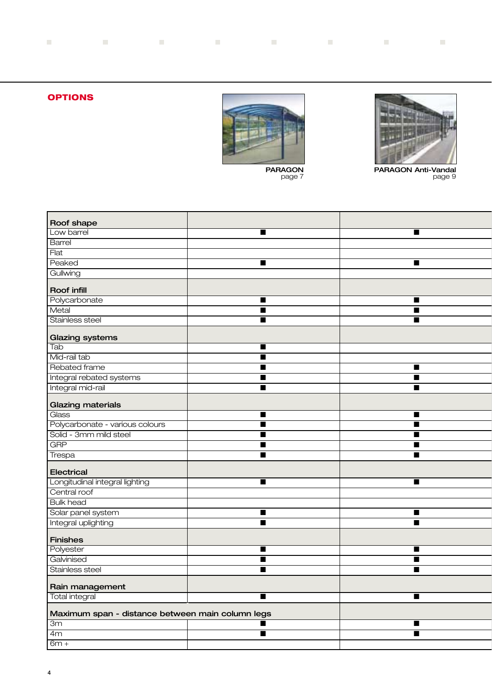## **OPTIONS**



**PARAGON**<br>page 7



PARAGON Anti-Vandal page 9

| Roof shape                                       |                |   |
|--------------------------------------------------|----------------|---|
| Low barrel                                       | ■              | ▬ |
| Barrel                                           |                |   |
| $F$ at                                           |                |   |
| Peaked                                           | ■              | ■ |
| Gullwing                                         |                |   |
| Roof infill                                      |                |   |
| Polycarbonate                                    | $\blacksquare$ | ■ |
| Metal                                            | ■              | ■ |
| Stainless steel                                  | п              | ■ |
| <b>Glazing systems</b>                           |                |   |
| Tab                                              | п              |   |
| Mid-rail tab                                     | п              |   |
| Rebated frame                                    | ш              | ■ |
| Integral rebated systems                         | п              | ■ |
| Integral mid-rail                                | П              | П |
| <b>Glazing materials</b>                         |                |   |
| Glass                                            | п              | ■ |
| Polycarbonate - various colours                  | ■              | ■ |
| Solid - 3mm mild steel                           | ■              | ■ |
| GRP                                              | ■              | ■ |
| Trespa                                           | п              | ■ |
| <b>Electrical</b>                                |                |   |
| Longitudinal integral lighting                   | $\blacksquare$ | ■ |
| Central roof                                     |                |   |
| <b>Bulk head</b>                                 |                |   |
| Solar panel system                               | ■              | ■ |
| Integral uplighting                              | ■              | ■ |
| <b>Finishes</b>                                  |                |   |
| Polyester                                        | ■              | ■ |
| Galvinised                                       | п              | ■ |
| Stainless steel                                  | п              | ■ |
| Rain management                                  |                |   |
| <b>Total integral</b>                            | ■              | ■ |
| Maximum span - distance between main column legs |                |   |
| 3m                                               |                | ■ |
| 4m                                               | П              | п |
| $6m +$                                           |                |   |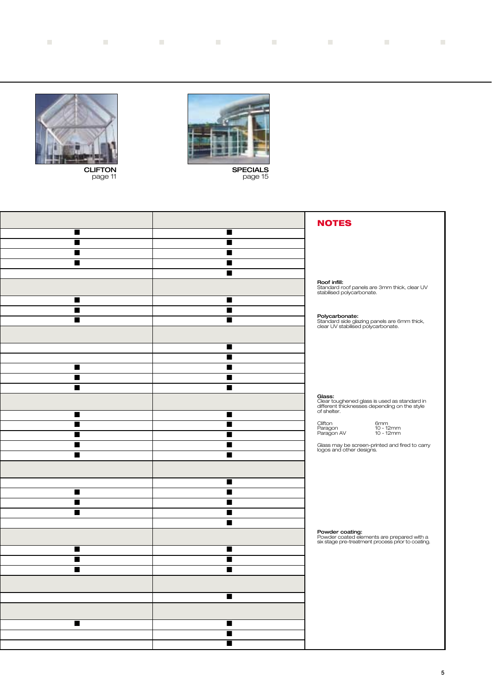

 $\mathcal{L}_{\mathcal{A}}$ 

CLIFTON page 11



SPECIALS page 15

the contract of the contract of the contract of the contract of the contract of the contract of the contract of

|                |                | <b>NOTES</b>                                                                                                          |
|----------------|----------------|-----------------------------------------------------------------------------------------------------------------------|
| ■              | п              |                                                                                                                       |
| п              | $\blacksquare$ |                                                                                                                       |
| п              | п              |                                                                                                                       |
| $\blacksquare$ | п              |                                                                                                                       |
|                | $\blacksquare$ |                                                                                                                       |
|                |                | Roof infill:<br>Standard roof panels are 3mm thick, clear UV<br>stabilised polycarbonate.                             |
| п              | п              |                                                                                                                       |
| ■              | п              |                                                                                                                       |
| ■              | ш              | Polycarbonate:<br>Standard side glazing panels are 6mm thick,<br>clear UV stabilised polycarbonate.                   |
|                |                |                                                                                                                       |
|                | п              |                                                                                                                       |
|                | п              |                                                                                                                       |
| п              | ■              |                                                                                                                       |
| п              | п              |                                                                                                                       |
| $\blacksquare$ | п              |                                                                                                                       |
|                |                | Glass:<br>Clear toughened glass is used as standard in<br>different thicknesses depending on the style<br>of shelter. |
| ■              | п              |                                                                                                                       |
| ■              | п              | Clifton<br>6mm<br>10 - 12mm<br>10 - 12mm<br>Paragon                                                                   |
| ■              | п              | Paragon AV                                                                                                            |
| $\blacksquare$ | п              | Glass may be screen-printed and fired to carry<br>logos and other designs.                                            |
| ■              | п              |                                                                                                                       |
|                |                |                                                                                                                       |
|                | п              |                                                                                                                       |
| п              | п              |                                                                                                                       |
| ■              | $\blacksquare$ |                                                                                                                       |
| п              | ■              |                                                                                                                       |
|                | п              |                                                                                                                       |
|                |                | Powder coating:<br>Powder coated elements are prepared with a<br>six stage pre-treatment process prior to coating.    |
| п              | п              |                                                                                                                       |
| $\blacksquare$ | п              |                                                                                                                       |
| ■              | п              |                                                                                                                       |
|                |                |                                                                                                                       |
|                | п              |                                                                                                                       |
|                |                |                                                                                                                       |
| ■              | ■              |                                                                                                                       |
|                | ■              |                                                                                                                       |
|                | ш              |                                                                                                                       |
|                |                |                                                                                                                       |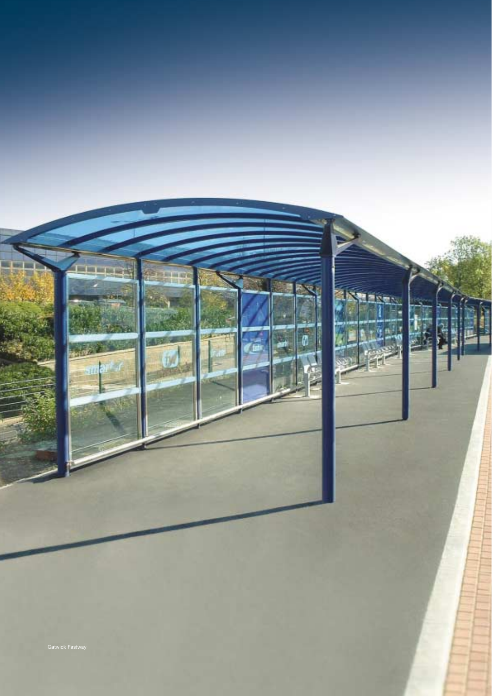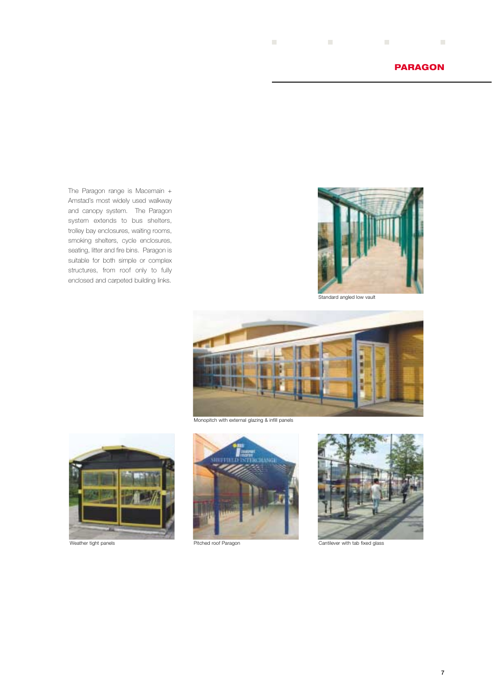## **PARAGON**

The Paragon range is Macemain + Amstad's most widely used walkway and canopy system. The Paragon system extends to bus shelters, trolley bay enclosures, waiting rooms, smoking shelters, cycle enclosures, seating, litter and fire bins. Paragon is suitable for both simple or complex structures, from roof only to fully enclosed and carpeted building links.



Standard angled low vault



Monopitch with external glazing & infill panels





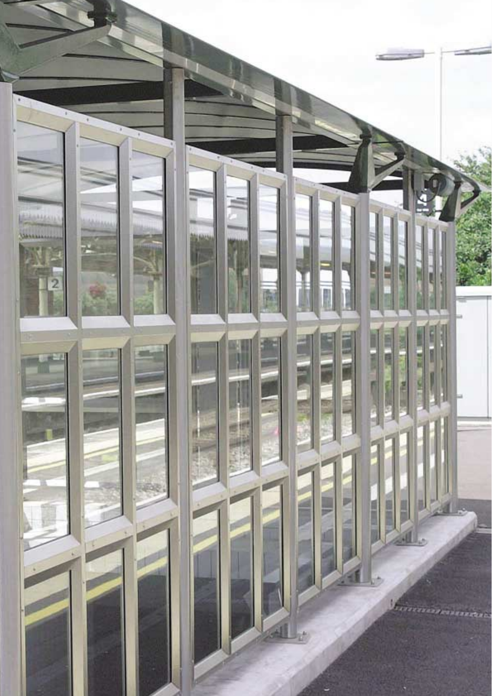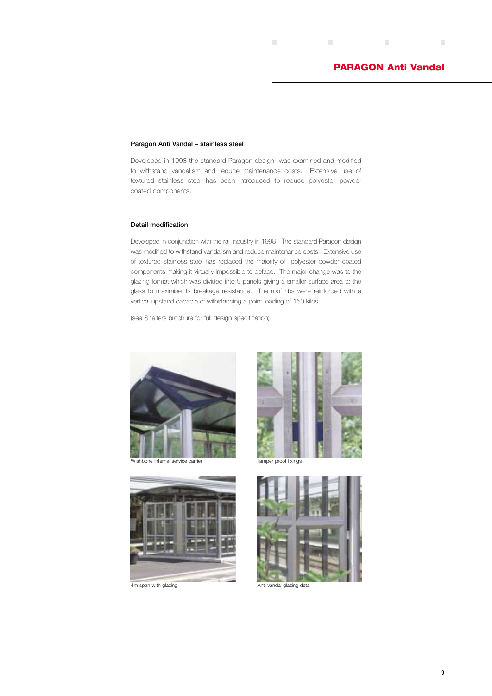#### **Paragon Anti Vandal – stainless steel**

Developed in 1998 the standard Paragon design was examined and modified to withstand vandalism and reduce maintenance costs. Extensive use of textured stainless steel has been introduced to reduce polyester powder coated components.

#### **Detail modification**

Developed in conjunction with the rail industry in 1998. The standard Paragon design was modified to withstand vandalism and reduce maintenance costs. Extensive use of textured stainless steel has replaced the majority of polyester powder coated components making it virtually impossible to deface. The major change was to the glazing format which was divided into 9 panels giving a smaller surface area to the glass to maximise its breakage resistance. The roof ribs were reinforced with a vertical upstand capable of withstanding a point loading of 150 kilos.

(see Shelters brochure for full design specification)



Wishbone internal service carrier Tamper proof fixings







4m span with glazing **Anti vandal glazing detail** Anti vandal glazing detail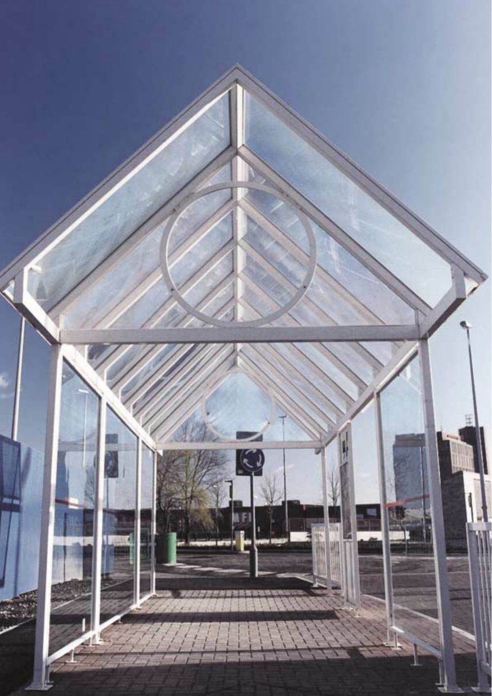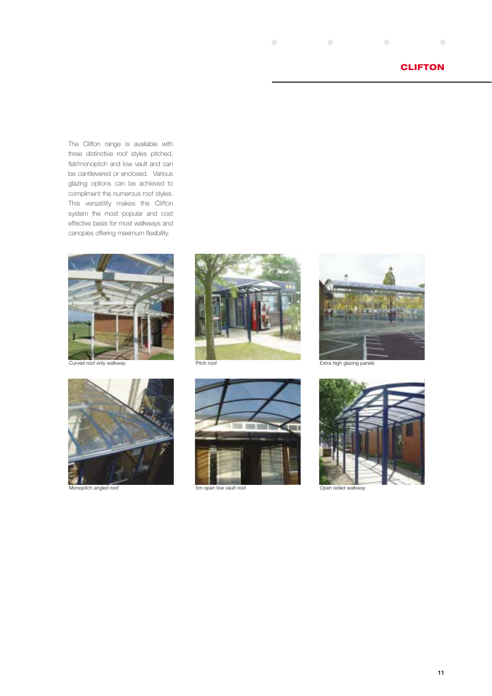#### **Contract Contract Contract Contract**  $\sim$ **Committee**

## **CLIFTON**

The Clifton range is available with three distinctive roof styles pitched, flat/monopitch and low vault and can be cantilevered or enclosed. Various glazing options can be achieved to compliment the numerous roof styles. This versatility makes the Clifton system the most popular and cost effective basis for most walkways and canopies offering maximum flexibility.



Curved roof only walkway



Monopitch angled roof



Pitch roof



5m span low vault roof



Extra high glazing panels



Open sided walkway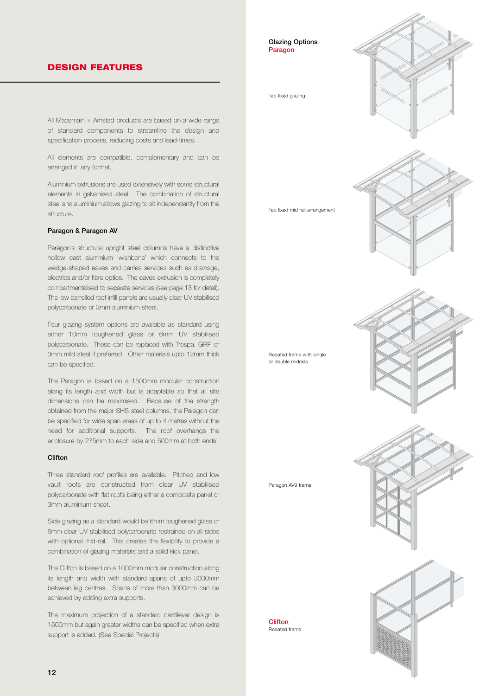## **DESIGN FEATURES**

All Macemain + Amstad products are based on a wide range of standard components to streamline the design and specification process, reducing costs and lead-times.

All elements are compatible, complementary and can be arranged in any format.

Aluminium extrusions are used extensively with some structural elements in galvanised steel. The combination of structural steel and aluminium allows glazing to sit independently from the structure.

### **Paragon & Paragon AV**

Paragon's structural upright steel columns have a distinctive hollow cast aluminium 'wishbone' which connects to the wedge-shaped eaves and carries services such as drainage, electrics and/or fibre optics. The eaves extrusion is completely compartmentalised to separate services (see page 13 for detail). The low barrelled roof infill panels are usually clear UV stabilised polycarbonate or 3mm aluminium sheet.

Four glazing system options are available as standard using either 10mm toughened glass or 6mm UV stabilised polycarbonate. These can be replaced with Trespa, GRP or 3mm mild steel if preferred. Other materials upto 12mm thick can be specified.

The Paragon is based on a 1500mm modular construction along its length and width but is adaptable so that all site dimensions can be maximised. Because of the strength obtained from the major SHS steel columns, the Paragon can be specified for wide span areas of up to 4 metres without the need for additional supports. The roof overhangs the enclosure by 275mm to each side and 500mm at both ends.

#### **Clifton**

Three standard roof profiles are available. Pitched and low vault roofs are constructed from clear UV stabilised polycarbonate with flat roofs being either a composite panel or 3mm aluminium sheet.

Side glazing as a standard would be 6mm toughened glass or 6mm clear UV stabilised polycarbonate restrained on all sides with optional mid-rail. This creates the flexibility to provide a combination of glazing materials and a solid kick panel.

The Clifton is based on a 1000mm modular construction along its length and width with standard spans of upto 3000mm between leg centres. Spans of more than 3000mm can be achieved by adding extra supports.

The maximum projection of a standard cantilever design is 1500mm but again greater widths can be specified when extra support is added. (See Special Projects).

**Glazing Options Paragon**



Tab fixed glazing

Tab fixed mid rail arrangement



Rebated frame with single or double midrails



Paragon AV9 frame



**Clifton** Rebated frame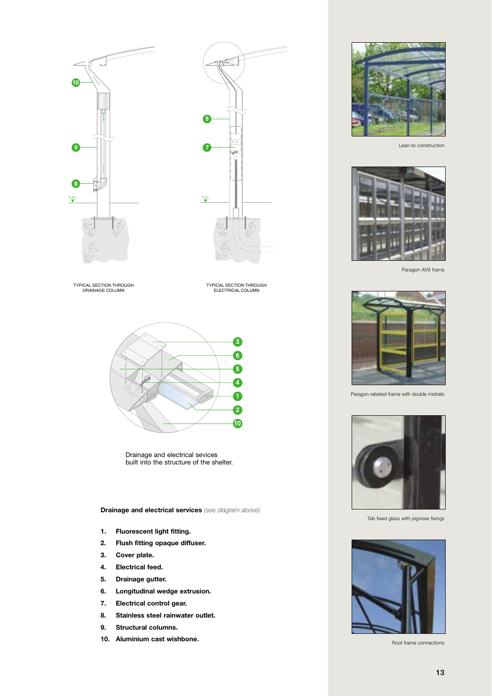



TYPICAL SECTION THROUGH DRAINAGE COLUMN

TYPICAL SECTION THROUGH ELECTRICAL COLUMN



Drainage and electrical sevices built into the structure of the shelter.

**Drainage and electrical services** *(see diagram above)*

- **1. Fluorescent light fitting.**
- **2. Flush fitting opaque diffuser.**
- **3. Cover plate.**
- **4. Electrical feed.**
- **5. Drainage gutter.**
- **6. Longitudinal wedge extrusion.**
- **7. Electrical control gear.**
- **8. Stainless steel rainwater outlet.**
- **9. Structural columns.**
- **10. Aluminium cast wishbone.**



Lean-to construction



Paragon AV9 frame



Paragon rebated frame with double midrails



Tab fixed glass with pignose fixings



Roof frame connections

**13**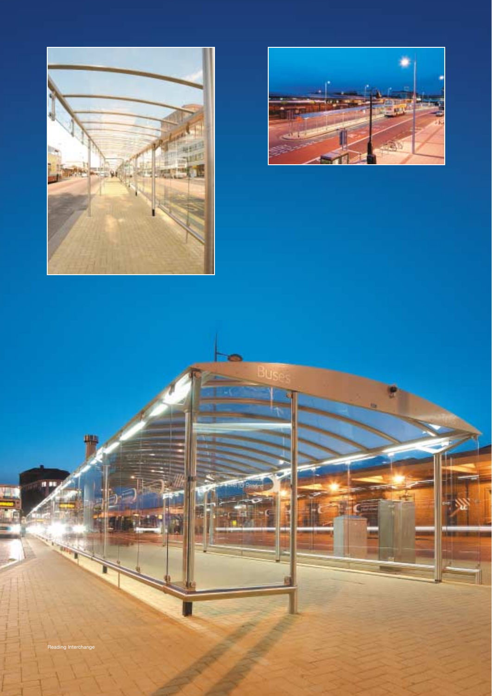



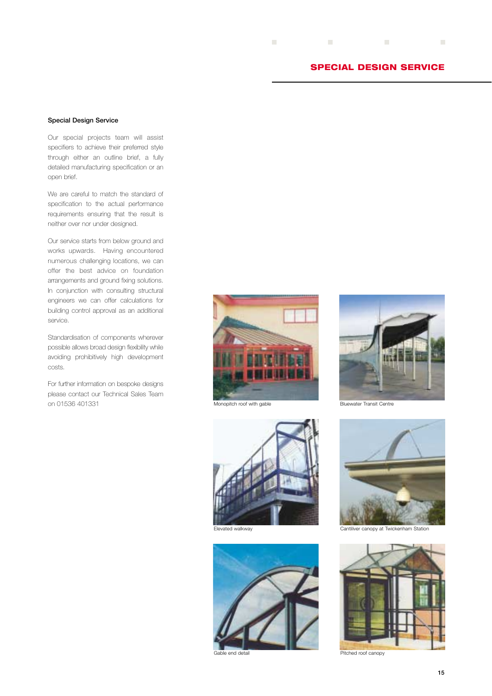## **SPECIAL DESIGN SERVICE**

#### **Special Design Service**

Our special projects team will assist specifiers to achieve their preferred style through either an outline brief, a fully detailed manufacturing specification or an open brief.

We are careful to match the standard of specification to the actual performance requirements ensuring that the result is neither over nor under designed.

Our service starts from below ground and works upwards. Having encountered numerous challenging locations, we can offer the best advice on foundation arrangements and ground fixing solutions. In conjunction with consulting structural engineers we can offer calculations for building control approval as an additional service.

Standardisation of components wherever possible allows broad design flexibility while avoiding prohibitively high development costs.

For further information on bespoke designs please contact our Technical Sales Team on 01536 401331





Elevated walkway



Gable end detail





Cantiliver canopy at Twickenham Station



Pitched roof canopy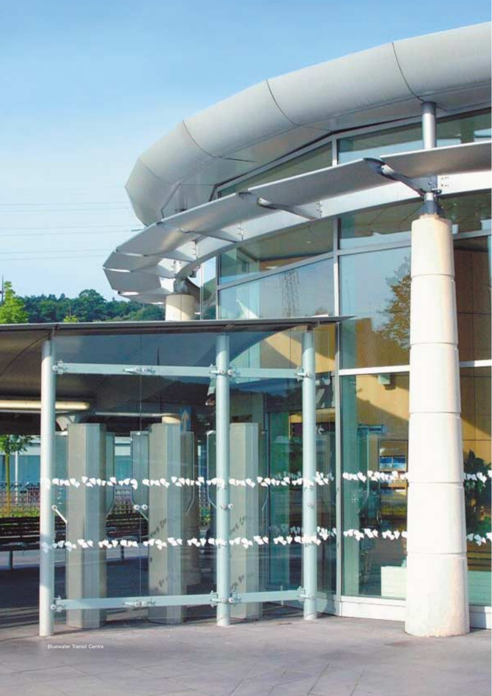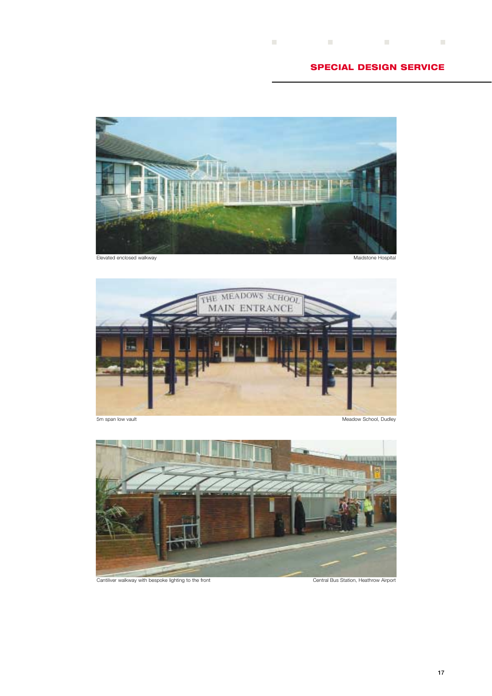## **SPECIAL DESIGN SERVICE**



HE MEADOWS SCHOOL MAIN ENTRANCE

5m span low vault **Meadow School, Dudley and School, Dudley Meadow School, Dudley American** Meadow School, Dudley



Cantiliver walkway with bespoke lighting to the front Central Bus Station, Heathrow Airport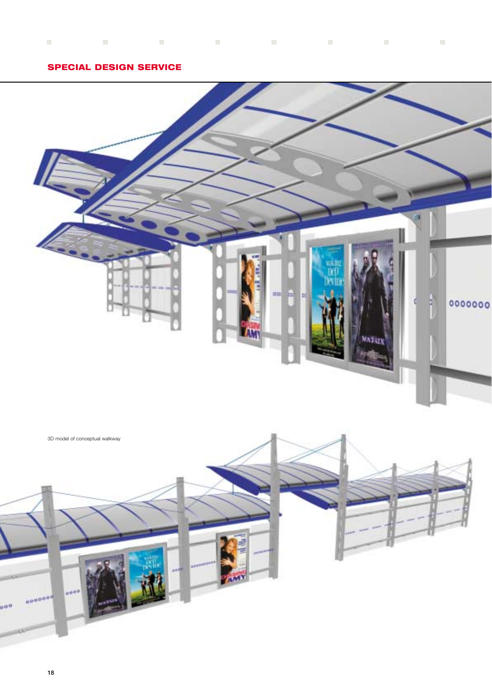#### $\sim 10^{-1}$

## **SPECIAL DESIGN SERVICE**



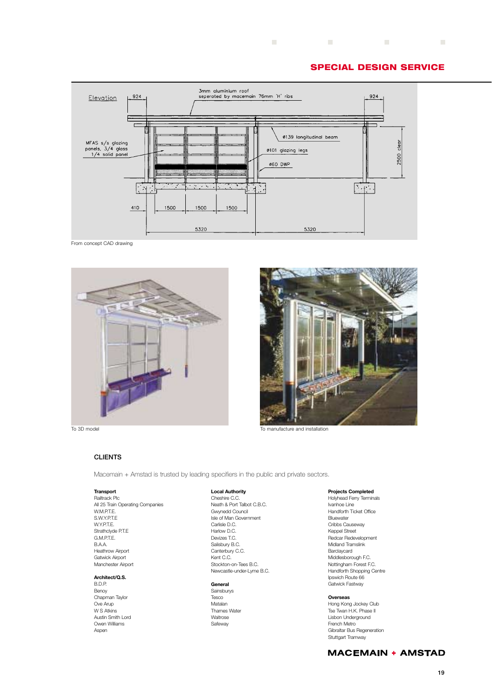## **SPECIAL DESIGN SERVICE**



From concept CAD drawing





#### **CLIENTS**

Macemain + Amstad is trusted by leading specifiers in the public and private sectors.

#### **Transport**

Railtrack Plc All 25 Train Operating Companies W.M.P.T.E. S.W.Y.P.T.E W.Y.P.T.E. Strathclyde P.T.E G.M.P.T.E. B.A.A. Heathrow Airport Gatwick Airport Manchester Airport

#### **Architect/Q.S.**

B.D.P. Benoy Chapman Taylor Ove Arup W S Atkins Austin Smith Lord Owen Williams Aspen

#### **Local Authority**

Cheshire C.C. Neath & Port Talbot C.B.C. Gwynedd Council Isle of Man Government Carlisle D.C. Harlow D.C. Devizes T.C. Salisbury B.C. Canterbury C.C. Kent C.C. Stockton-on-Tees B.C. Newcastle-under-Lyme B.C.

#### **General**

Sainsburys Tesco Matalan Thames Water Waitrose Safeway

#### **Projects Completed**

Holyhead Ferry Terminals Ivanhoe Line Handforth Ticket Office Bluewater Cribbs Causeway Keppel Street Redcar Redevelopment Midland Tramslink Barclaycard Middlesborough F.C. Nottingham Forest F.C. Handforth Shopping Centre Ipswich Route 66 Gatwick Fastway

#### **Overseas**

Hong Kong Jockey Club Tse Twan H.K. Phase II Lisbon Underground French Metro Gibraltar Bus Regeneration Stuttgart Tramway

## **MACEMAIN + AMSTAD**